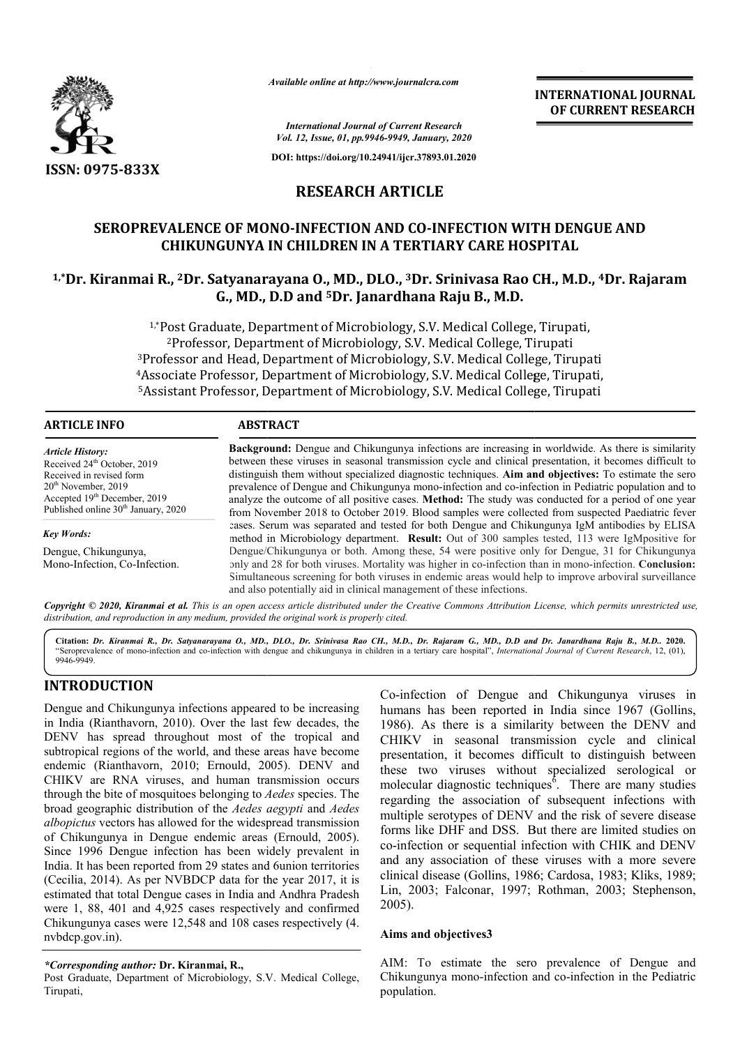

*Available online at http://www.journalcra.com*

**INTERNATIONAL JOURNAL OF CURRENT RESEARCH**

*International Journal of Current Research Vol. 12, Issue, 01, pp.9946-9949, January, 2020*

**DOI: https://doi.org/10.24941/ijcr.37893.01.2020**

# **RESEARCH ARTICLE**

# SEROPREVALENCE OF MONO-INFECTION AND CO-INFECTION WITH DENGUE AND **CHIKUNGUNYA IN CHILDREN IN A TERTIARY CARE HOSPITAL**

# **1,\*Dr. Kiranmai R., 2Dr. Satyanaraya Dr. Satyanarayana O., MD., DLO., 3Dr. Srinivasa Rao CH., M.D., Dr. Srinivasa Rao 4Dr. Rajaram G., MD., D.D and 5Dr. Janardhana Raju B., M.D.**

1,\*Post Graduate, Department of Microbiology, S.V. Medical College, Tirupati, 2Professor, Department of Microbiology, S.V. Medical College, Tirupati <sup>2</sup>Professor, Department of Microbiology, S.V. Medical College, Tirupati<br><sup>3</sup>Professor and Head, Department of Microbiology, S.V. Medical College, Tirupati <sup>2</sup>Professor, Department of Microbiology, S.V. Medical College, Tirupati<br><sup>3</sup>Professor and Head, Department of Microbiology, S.V. Medical College, Tirupati,<br>4Associate Professor, Department of Microbiology, S.V. Medical Col <sup>5</sup>Assistant Professor, Department of Microbiology, S.V. Medical College, Tirupati

#### **ARTICLE INFO ABSTRACT Background:**  Dengue and Chikungunya infections are increasing in worldwide. As there is similarity Background: Dengue and Chikungunya infections are increasing in worldwide. As there is similarity between these viruses in seasonal transmission cycle and clinical presentation, it becomes difficult to distinguish them without specialized diagnostic techniques. Aim and objectives: To estimate the sero prevalence of Dengue and Chikungunya mono-infection and co-infection in Pediatric population and to analyze the outcome of all positive cases. **Method:** The study was conducted for a period of one year from November 2018 to October 2019. Blood samples were collected from suspected Paediatric fever cases. Serum was separated and tested for both Dengue and Chikungunya IgM antibodies by ELISA prevalence of Dengue and Chikungunya mono-infection and co-infection in Pediatric population and to analyze the outcome of all positive cases. Method: The study was conducted for a period of one year from November 2018 to Dengue/Chikungunya or both. Among these, 54 were positive only for Dengue, 31 for Chikungunya Dengue/Chikungunya or both. Among these, 54 were positive only for Dengue, 31 for Chikungunya only and 28 for both viruses. Mortality was higher in co-infection than in mono-infection. **Conclusion:** Simultaneous screening for both viruses in endemic areas would help to improve arboviral surveillance and also potentially aid in clinical management of these infections. *Article History:* Received 24<sup>th</sup> October, 2019 Received in revised form  $20<sup>th</sup>$  November, 2019 Accepted 19<sup>th</sup> December, 2019 Published online 30<sup>th</sup> January, 2020 *Key Words:* Dengue, Chikungunya, Mono-Infection, Co-Infection.

Copyright © 2020, Kiranmai et al. This is an open access article distributed under the Creative Commons Attribution License, which permits unrestricted use, *distribution, and reproduction in any medium, provided the original work is properly cited.*

Citation: *Dr. Kiranmai R., Dr. Satyanarayana O., MD., DLO., Dr. Srinivasa Rao CH., M.D., Dr. Rajaram G., MD., D., D., D., D., D., D., 2020.* "Seroprevalence of mono-infection and co-infection with dengue and chikungunya in children in a tertiary care hospital", *International Journal of Current Research*, 12, (01), 9946-9949.

# **INTRODUCTION**

Dengue and Chikungunya infections appeared to be increasing in India (Rianthavorn, 2010). Over the last few decades, the DENV has spread throughout most of the tropical and subtropical regions of the world, and these areas have become endemic (Rianthavorn, 2010; Ernould, 2005). DENV and CHIKV are RNA viruses, and human transmission occurs through the bite of mosquitoes belonging to *Aedes*  species. The broad geographic distribution of the *Aedes aegypti*  and *Aedes albopictus* vectors has allowed for the widespread transmission of Chikungunya in Dengue endemic areas (Ernould, 2005). Since 1996 Dengue infection has been widely prevalent in India. It has been reported from 29 states and 6union territories (Cecilia, 2014). As per NVBDCP data for the year 2017, it is estimated that total Dengue cases in India and Andhra Pradesh were 1, 88, 401 and 4,925 cases respectively and confirmed Chikungunya cases were 12,548 and 108 cases respectively (4. nvbdcp.gov.in).

### *\*Corresponding author:* **Dr. Kiranmai, R.,**

Post Graduate, Department of Microbiology, S.V. Medical College, Tirupati,

Co-infection of Dengue and Chikungunya viruses in<br>
2010). Over the last few decades, the<br>
2010). Over the last few decades, the<br>
1986). As there is a similarity between the DENV and<br>
the world, and these areas have become<br> Co-infection of Dengue and Chikungunya viruses in humans has been reported in India since 1967 (Gollins, 1986). As there is a similarity between the DENV and CHIKV in seasonal transmission cycle and clinical presentation, it becomes difficult to distinguish between these two viruses without specialized serological or molecular diagnostic techniques . There are many studies regarding the association of subsequent infections with multiple serotypes of DENV and the risk of severe disease forms like DHF and DSS. But there are limited studies on co-infection or sequential infection with CHIK and DENV and any association of these viruses with a more severe clinical disease (Gollins, 1986; Cardosa, 1983; Kliks, 1989; Lin, 2003; Falconar, 1997; Rothman, 2003; Stephenson, 2005). in seasonal transmission cycle and clinical ation, it becomes difficult to distinguish between two viruses without specialized serological or that diagnostic techniques<sup>6</sup>. There are many studies Itiple serotypes of DENV and the risk of severe disease ms like DHF and DSS. But there are limited studies on infection or sequential infection with CHIK and DENV any association of these viruses with a more severe incal d

### **Aims and objectives3**

AIM: To estimate the sero prevalence of Dengue and Chikungunya mono-infection and co population.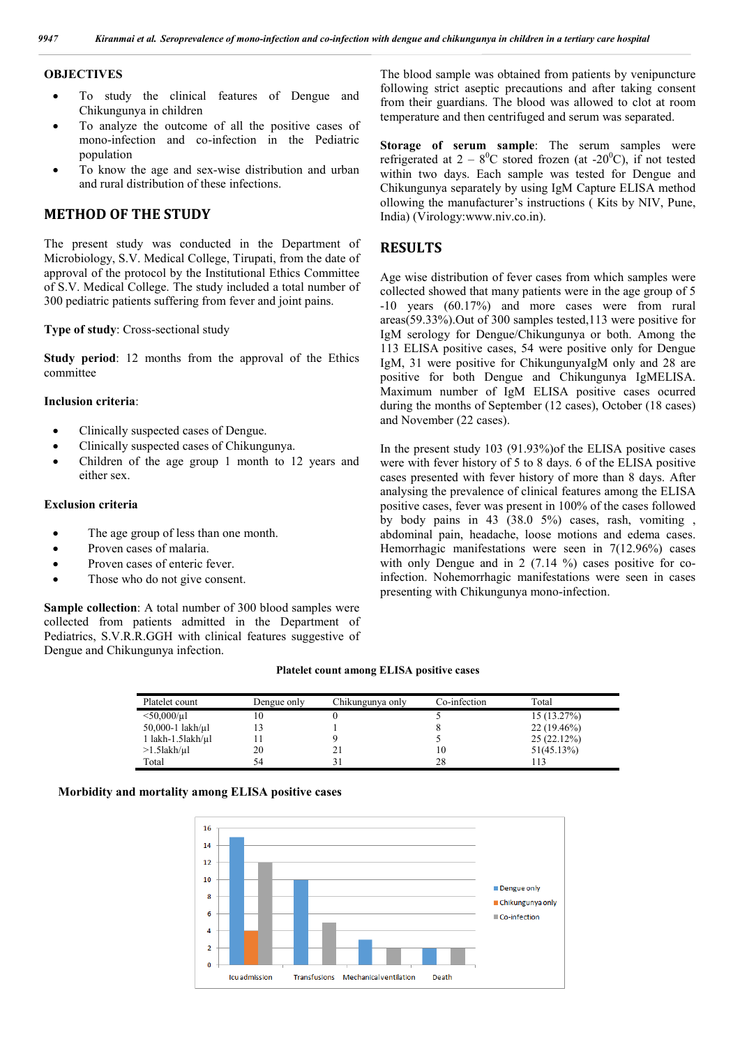### **OBJECTIVES**

- To study the clinical features of Dengue and Chikungunya in children
- To analyze the outcome of all the positive cases of mono-infection and co-infection in the Pediatric population
- To know the age and sex-wise distribution and urban and rural distribution of these infections.

# **METHOD OF THE STUDY**

The present study was conducted in the Department of Microbiology, S.V. Medical College, Tirupati, from the date of approval of the protocol by the Institutional Ethics Committee of S.V. Medical College. The study included a total number of 300 pediatric patients suffering from fever and joint pains.

#### **Type of study**: Cross-sectional study

**Study period**: 12 months from the approval of the Ethics committee

### **Inclusion criteria**:

- Clinically suspected cases of Dengue.
- Clinically suspected cases of Chikungunya.
- Children of the age group 1 month to 12 years and either sex.

#### **Exclusion criteria**

- The age group of less than one month.
- Proven cases of malaria.
- Proven cases of enteric fever.
- Those who do not give consent.

**Sample collection**: A total number of 300 blood samples were collected from patients admitted in the Department of Pediatrics, S.V.R.R.GGH with clinical features suggestive of Dengue and Chikungunya infection.

The blood sample was obtained from patients by venipuncture following strict aseptic precautions and after taking consent from their guardians. The blood was allowed to clot at room temperature and then centrifuged and serum was separated.

**Storage of serum sample**: The serum samples were refrigerated at  $2 - 8^0C$  stored frozen (at -20<sup>0</sup>C), if not tested within two days. Each sample was tested for Dengue and Chikungunya separately by using IgM Capture ELISA method ollowing the manufacturer's instructions ( Kits by NIV, Pune, India) (Virology:www.niv.co.in).

### **RESULTS**

Age wise distribution of fever cases from which samples were collected showed that many patients were in the age group of 5 -10 years (60.17%) and more cases were from rural areas(59.33%).Out of 300 samples tested,113 were positive for IgM serology for Dengue/Chikungunya or both. Among the 113 ELISA positive cases, 54 were positive only for Dengue IgM, 31 were positive for ChikungunyaIgM only and 28 are positive for both Dengue and Chikungunya IgMELISA. Maximum number of IgM ELISA positive cases ocurred during the months of September (12 cases), October (18 cases) and November (22 cases).

In the present study 103 (91.93%)of the ELISA positive cases were with fever history of 5 to 8 days. 6 of the ELISA positive cases presented with fever history of more than 8 days. After analysing the prevalence of clinical features among the ELISA positive cases, fever was present in 100% of the cases followed by body pains in 43 (38.0 5%) cases, rash, vomiting , abdominal pain, headache, loose motions and edema cases. Hemorrhagic manifestations were seen in 7(12.96%) cases with only Dengue and in 2 (7.14 %) cases positive for coinfection. Nohemorrhagic manifestations were seen in cases presenting with Chikungunya mono-infection.

#### **Platelet count among ELISA positive cases**

| Platelet count                | Dengue only | Chikungunya only | Co-infection | Total         |
|-------------------------------|-------------|------------------|--------------|---------------|
|                               |             |                  |              |               |
| $<$ 50,000/µl                 |             |                  |              | 15(13.27%)    |
| 50,000-1 $lakh/µl$            |             |                  |              | $22(19.46\%)$ |
| $1$ lakh- $1.5$ lakh/ $\mu$ l |             |                  |              | 25(22.12%)    |
| $>1.5$ lakh/µl                | 20          |                  | 10           | 51(45.13%)    |
| Total                         |             |                  | 28           |               |

### **Morbidity and mortality among ELISA positive cases**

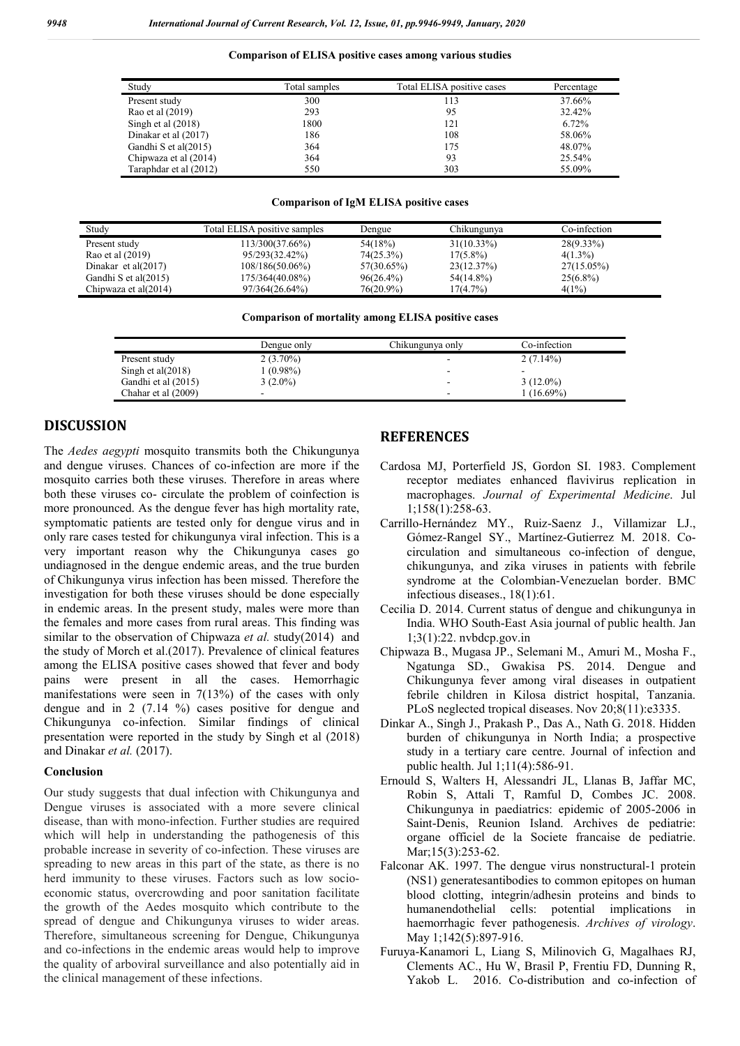#### **Comparison of ELISA positive cases among various studies**

| Study                  | Total samples | Total ELISA positive cases | Percentage |
|------------------------|---------------|----------------------------|------------|
| Present study          | 300           | 113                        | 37.66%     |
| Rao et al (2019)       | 293           | 95                         | 32.42%     |
| Singh et al $(2018)$   | 1800          | 121                        | 6.72%      |
| Dinakar et al (2017)   | 186           | 108                        | 58.06%     |
| Gandhi S et al(2015)   | 364           | 175                        | 48.07%     |
| Chipwaza et al (2014)  | 364           | 93                         | 25.54%     |
| Taraphdar et al (2012) | 550           | 303                        | 55.09%     |

#### **Comparison of IgM ELISA positive cases**

| Studv                | Total ELISA positive samples | Dengue       | Chikungunva   | Co-infection |  |
|----------------------|------------------------------|--------------|---------------|--------------|--|
| Present study        | 113/300(37.66%)              | 54(18%)      | $31(10.33\%)$ | $28(9.33\%)$ |  |
| Rao et al (2019)     | 95/293(32.42%)               | 74(25.3%)    | $17(5.8\%)$   | $4(1.3\%)$   |  |
| Dinakar et al(2017)  | $108/186(50.06\%)$           | 57(30.65%)   | 23(12.37%)    | 27(15.05%)   |  |
| Gandhi S et al(2015) | 175/364(40.08%)              | $96(26.4\%)$ | 54(14.8%)     | $25(6.8\%)$  |  |
| Chipwaza et al(2014) | 97/364(26.64%)               | $76(20.9\%)$ | 17(4.7%)      | 4(1%)        |  |

**Comparison of mortality among ELISA positive cases**

|                      | Dengue only | Chikungunya only | Co-infection |
|----------------------|-------------|------------------|--------------|
| Present study        | $2(3.70\%)$ |                  | $2(7.14\%)$  |
| Singh et al $(2018)$ | 1 (0.98%)   |                  |              |
| Gandhi et al (2015)  | $3(2.0\%)$  |                  | $3(12.0\%)$  |
| Chahar et al (2009)  |             |                  | $(16.69\%)$  |

### **DISCUSSION**

The *Aedes aegypti* mosquito transmits both the Chikungunya and dengue viruses. Chances of co-infection are more if the mosquito carries both these viruses. Therefore in areas where both these viruses co- circulate the problem of coinfection is more pronounced. As the dengue fever has high mortality rate, symptomatic patients are tested only for dengue virus and in only rare cases tested for chikungunya viral infection. This is a very important reason why the Chikungunya cases go undiagnosed in the dengue endemic areas, and the true burden of Chikungunya virus infection has been missed. Therefore the investigation for both these viruses should be done especially in endemic areas. In the present study, males were more than the females and more cases from rural areas. This finding was similar to the observation of Chipwaza *et al.* study(2014) and the study of Morch et al.(2017). Prevalence of clinical features among the ELISA positive cases showed that fever and body pains were present in all the cases. Hemorrhagic manifestations were seen in 7(13%) of the cases with only dengue and in 2 (7.14 %) cases positive for dengue and Chikungunya co-infection. Similar findings of clinical presentation were reported in the study by Singh et al (2018) and Dinakar *et al.* (2017).

### **Conclusion**

Our study suggests that dual infection with Chikungunya and Dengue viruses is associated with a more severe clinical disease, than with mono-infection. Further studies are required which will help in understanding the pathogenesis of this probable increase in severity of co-infection. These viruses are spreading to new areas in this part of the state, as there is no herd immunity to these viruses. Factors such as low socioeconomic status, overcrowding and poor sanitation facilitate the growth of the Aedes mosquito which contribute to the spread of dengue and Chikungunya viruses to wider areas. Therefore, simultaneous screening for Dengue, Chikungunya and co-infections in the endemic areas would help to improve the quality of arboviral surveillance and also potentially aid in the clinical management of these infections.

## **REFERENCES**

- Cardosa MJ, Porterfield JS, Gordon SI. 1983. Complement receptor mediates enhanced flavivirus replication in macrophages. *Journal of Experimental Medicine*. Jul 1;158(1):258-63.
- Carrillo-Hernández MY., Ruiz-Saenz J., Villamizar LJ., Gómez-Rangel SY., Martínez-Gutierrez M. 2018. Cocirculation and simultaneous co-infection of dengue, chikungunya, and zika viruses in patients with febrile syndrome at the Colombian-Venezuelan border. BMC infectious diseases., 18(1):61.
- Cecilia D. 2014. Current status of dengue and chikungunya in India. WHO South-East Asia journal of public health. Jan 1;3(1):22. nvbdcp.gov.in
- Chipwaza B., Mugasa JP., Selemani M., Amuri M., Mosha F., Ngatunga SD., Gwakisa PS. 2014. Dengue and Chikungunya fever among viral diseases in outpatient febrile children in Kilosa district hospital, Tanzania. PLoS neglected tropical diseases. Nov 20;8(11):e3335.
- Dinkar A., Singh J., Prakash P., Das A., Nath G. 2018. Hidden burden of chikungunya in North India; a prospective study in a tertiary care centre. Journal of infection and public health. Jul 1;11(4):586-91.
- Ernould S, Walters H, Alessandri JL, Llanas B, Jaffar MC, Robin S, Attali T, Ramful D, Combes JC. 2008. Chikungunya in paediatrics: epidemic of 2005-2006 in Saint-Denis, Reunion Island. Archives de pediatrie: organe officiel de la Societe francaise de pediatrie. Mar;15(3):253-62.
- Falconar AK. 1997. The dengue virus nonstructural-1 protein (NS1) generatesantibodies to common epitopes on human blood clotting, integrin/adhesin proteins and binds to humanendothelial cells: potential implications in haemorrhagic fever pathogenesis. *Archives of virology*. May 1;142(5):897-916.
- Furuya-Kanamori L, Liang S, Milinovich G, Magalhaes RJ, Clements AC., Hu W, Brasil P, Frentiu FD, Dunning R, Yakob L. 2016. Co-distribution and co-infection of